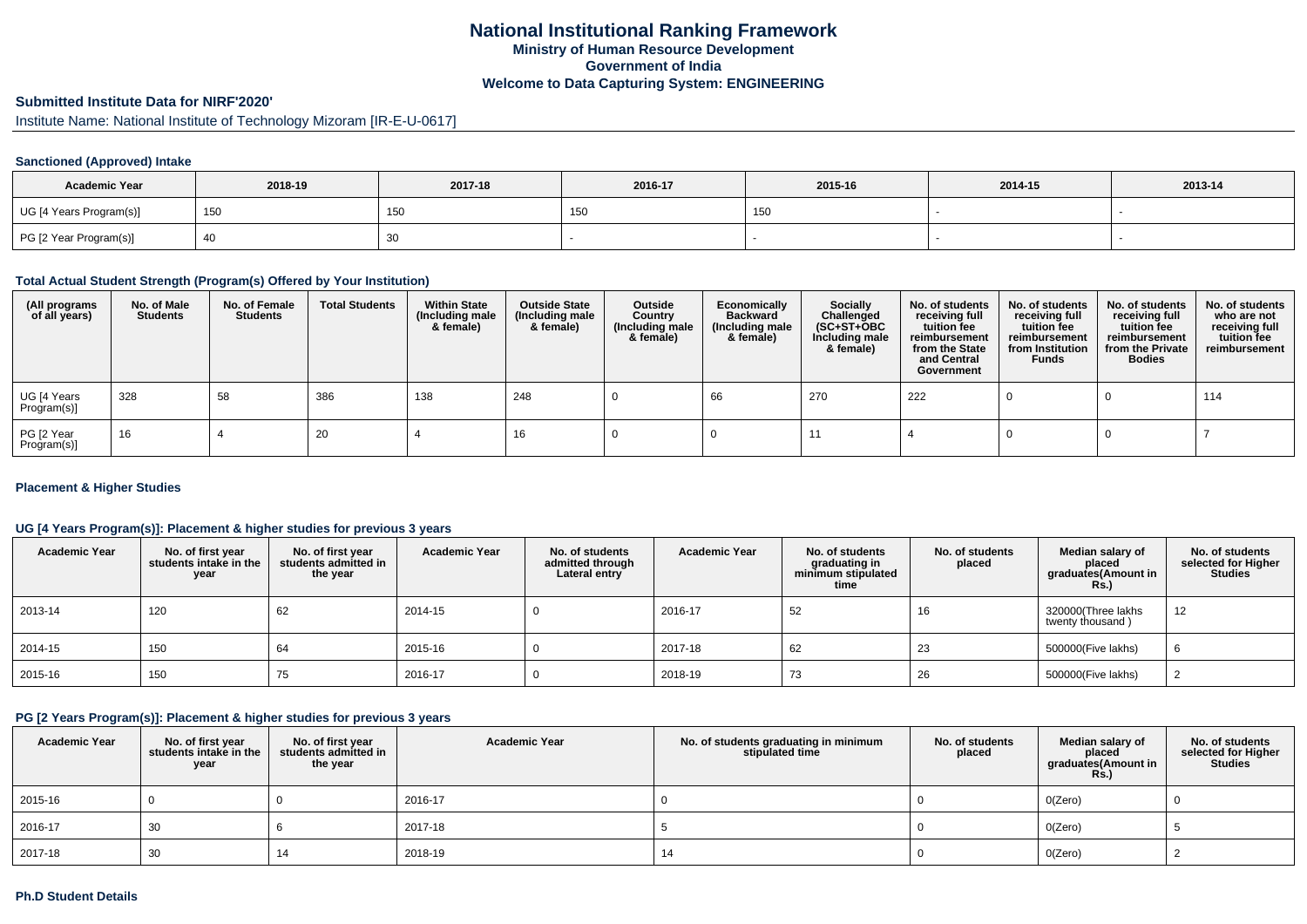#### **Submitted Institute Data for NIRF'2020'**

Institute Name: National Institute of Technology Mizoram [IR-E-U-0617]

### **Sanctioned (Approved) Intake**

| <b>Academic Year</b>    | 2018-19 | 2017-18 | 2016-17     | 2015-16 | 2014-15 | 2013-14 |
|-------------------------|---------|---------|-------------|---------|---------|---------|
| UG [4 Years Program(s)] | 150     | 150     | 15<br>1 J J | 150     |         |         |
| PG [2 Year Program(s)]  |         | 30      |             |         |         |         |

#### **Total Actual Student Strength (Program(s) Offered by Your Institution)**

| (All programs<br>of all years) | No. of Male<br><b>Students</b> | No. of Female<br><b>Students</b> | <b>Total Students</b> | <b>Within State</b><br>(Including male<br>& female) | <b>Outside State</b><br>(Including male<br>& female) | Outside<br>Country<br>(Including male<br>& female) | Economically<br><b>Backward</b><br>(Including male<br>& female) | Socially<br>Challenged<br>$(SC+ST+OBC)$<br>Including male<br>& female) | No. of students<br>receiving full<br>tuition fee<br>reimbursement<br>from the State<br>and Central<br>Government | No. of students<br>receiving full<br>tuition fee<br>reimbursement<br>from Institution<br><b>Funds</b> | No. of students<br>receiving full<br>tuition fee<br>reimbursement<br>from the Private<br><b>Bodies</b> | No. of students<br>who are not<br>receiving full<br>tuition fee<br>reimbursement |
|--------------------------------|--------------------------------|----------------------------------|-----------------------|-----------------------------------------------------|------------------------------------------------------|----------------------------------------------------|-----------------------------------------------------------------|------------------------------------------------------------------------|------------------------------------------------------------------------------------------------------------------|-------------------------------------------------------------------------------------------------------|--------------------------------------------------------------------------------------------------------|----------------------------------------------------------------------------------|
| UG [4 Years<br>Program(s)]     | 328                            | 58                               | 386                   | 138                                                 | 248                                                  |                                                    | 66                                                              | 270                                                                    | 222                                                                                                              |                                                                                                       |                                                                                                        | 114                                                                              |
| PG [2 Year<br>Program(s)]      | 16                             |                                  | 20                    |                                                     | 16                                                   |                                                    |                                                                 |                                                                        |                                                                                                                  |                                                                                                       |                                                                                                        |                                                                                  |

### **Placement & Higher Studies**

### **UG [4 Years Program(s)]: Placement & higher studies for previous 3 years**

| <b>Academic Year</b> | No. of first year<br>students intake in the<br>year | No. of first vear<br>students admitted in<br>the year | <b>Academic Year</b> | No. of students<br>admitted through<br>Lateral entry | <b>Academic Year</b> | No. of students<br>graduating in<br>minimum stipulated<br>time | No. of students<br>placed | Median salary of<br>placed<br>graduates(Amount in<br><b>Rs.)</b> | No. of students<br>selected for Higher<br>Studies |
|----------------------|-----------------------------------------------------|-------------------------------------------------------|----------------------|------------------------------------------------------|----------------------|----------------------------------------------------------------|---------------------------|------------------------------------------------------------------|---------------------------------------------------|
| 2013-14              | 120                                                 | 62                                                    | 2014-15              |                                                      | 2016-17              | 52                                                             | 16                        | 320000(Three lakhs<br>twenty thousand)                           | 12                                                |
| 2014-15              | 150                                                 | 64                                                    | 2015-16              |                                                      | 2017-18              | 62                                                             | 23                        | 500000(Five lakhs)                                               |                                                   |
| 2015-16              | 150                                                 | 75                                                    | 2016-17              |                                                      | 2018-19              | 73                                                             | 26                        | 500000(Five lakhs)                                               |                                                   |

## **PG [2 Years Program(s)]: Placement & higher studies for previous 3 years**

| <b>Academic Year</b> | No. of first year<br>students intake in the<br>year | No. of first year<br>students admitted in<br>the year | <b>Academic Year</b> | No. of students graduating in minimum<br>stipulated time | No. of students<br>placed | Median salary of<br>placed<br>graduates(Amount in<br><b>Rs.)</b> | No. of students<br>selected for Higher<br><b>Studies</b> |
|----------------------|-----------------------------------------------------|-------------------------------------------------------|----------------------|----------------------------------------------------------|---------------------------|------------------------------------------------------------------|----------------------------------------------------------|
| 2015-16              |                                                     |                                                       | 2016-17              |                                                          |                           | O(Zero)                                                          |                                                          |
| 2016-17              | 30                                                  |                                                       | 2017-18              |                                                          |                           | O(Zero)                                                          |                                                          |
| 2017-18              | 30                                                  |                                                       | 2018-19              | 14                                                       |                           | O(Zero)                                                          |                                                          |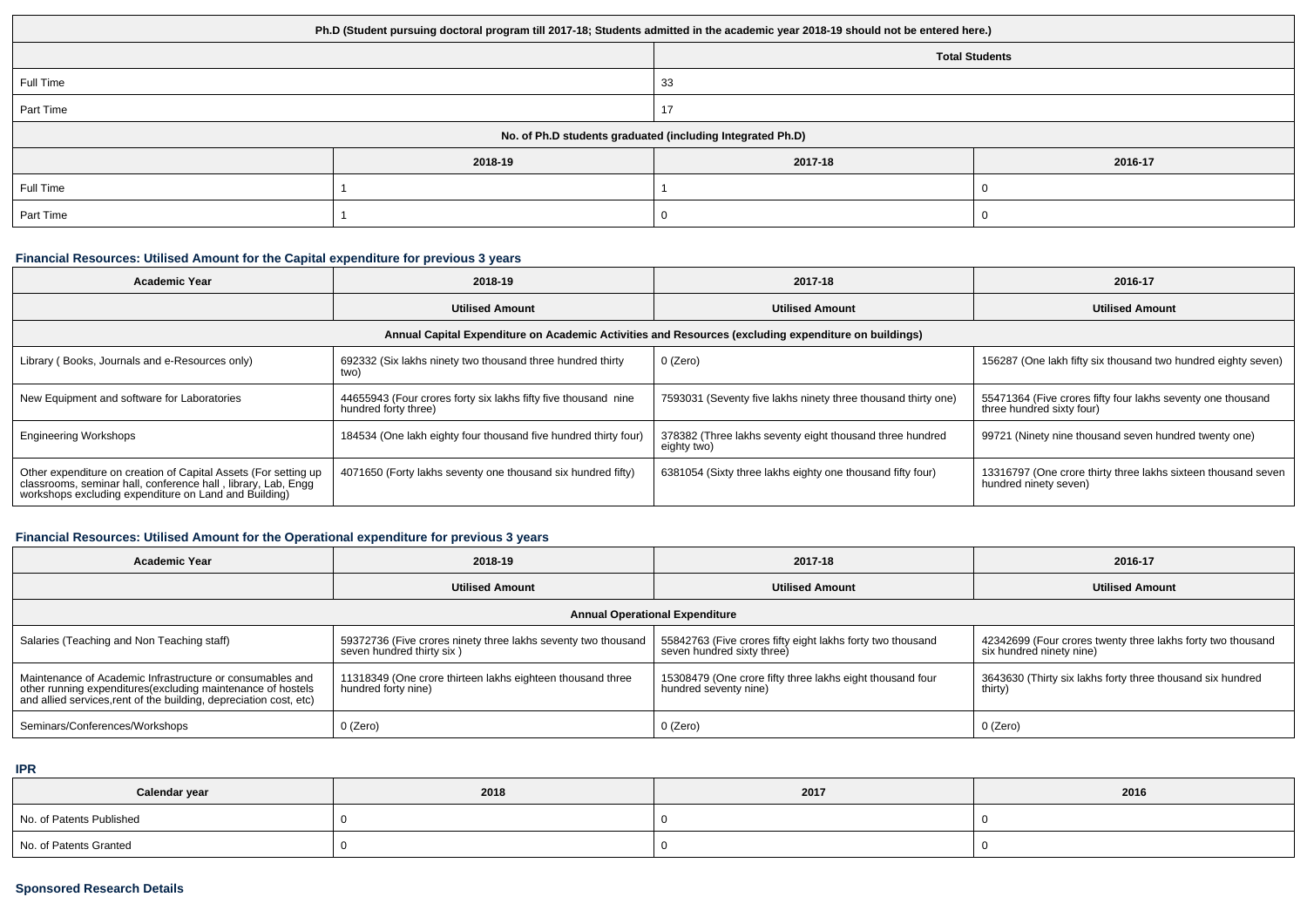| Ph.D (Student pursuing doctoral program till 2017-18; Students admitted in the academic year 2018-19 should not be entered here.) |         |                       |         |  |  |
|-----------------------------------------------------------------------------------------------------------------------------------|---------|-----------------------|---------|--|--|
|                                                                                                                                   |         | <b>Total Students</b> |         |  |  |
| Full Time                                                                                                                         |         | 33                    |         |  |  |
| Part Time                                                                                                                         |         | 17                    |         |  |  |
| No. of Ph.D students graduated (including Integrated Ph.D)                                                                        |         |                       |         |  |  |
|                                                                                                                                   | 2018-19 | 2017-18               | 2016-17 |  |  |
| Full Time                                                                                                                         |         |                       |         |  |  |
| Part Time                                                                                                                         |         |                       |         |  |  |

### **Financial Resources: Utilised Amount for the Capital expenditure for previous 3 years**

| <b>Academic Year</b>                                                                                                                                                                      | 2018-19                                                                                | 2017-18                                                                 | 2016-17                                                                                  |  |  |  |
|-------------------------------------------------------------------------------------------------------------------------------------------------------------------------------------------|----------------------------------------------------------------------------------------|-------------------------------------------------------------------------|------------------------------------------------------------------------------------------|--|--|--|
|                                                                                                                                                                                           | <b>Utilised Amount</b>                                                                 | <b>Utilised Amount</b>                                                  | <b>Utilised Amount</b>                                                                   |  |  |  |
| Annual Capital Expenditure on Academic Activities and Resources (excluding expenditure on buildings)                                                                                      |                                                                                        |                                                                         |                                                                                          |  |  |  |
| Library (Books, Journals and e-Resources only)                                                                                                                                            | 692332 (Six lakhs ninety two thousand three hundred thirty<br>two)                     | 0 (Zero)                                                                | 156287 (One lakh fifty six thousand two hundred eighty seven)                            |  |  |  |
| New Equipment and software for Laboratories                                                                                                                                               | 44655943 (Four crores forty six lakhs fifty five thousand nine<br>hundred forty three) | 7593031 (Seventy five lakhs ninety three thousand thirty one)           | 55471364 (Five crores fifty four lakhs seventy one thousand<br>three hundred sixty four) |  |  |  |
| <b>Engineering Workshops</b>                                                                                                                                                              | 184534 (One lakh eighty four thousand five hundred thirty four)                        | 378382 (Three lakhs seventy eight thousand three hundred<br>eighty two) | 99721 (Ninety nine thousand seven hundred twenty one)                                    |  |  |  |
| Other expenditure on creation of Capital Assets (For setting up<br>classrooms, seminar hall, conference hall, library, Lab, Engg<br>workshops excluding expenditure on Land and Building) | 4071650 (Forty lakhs seventy one thousand six hundred fifty)                           | 6381054 (Sixty three lakhs eighty one thousand fifty four)              | 13316797 (One crore thirty three lakhs sixteen thousand seven<br>hundred ninety seven)   |  |  |  |

## **Financial Resources: Utilised Amount for the Operational expenditure for previous 3 years**

| <b>Academic Year</b>                                                                                                                                                                            | 2018-19                                                                                    | 2017-18                                                                                  | 2016-17                                                                                 |  |  |  |
|-------------------------------------------------------------------------------------------------------------------------------------------------------------------------------------------------|--------------------------------------------------------------------------------------------|------------------------------------------------------------------------------------------|-----------------------------------------------------------------------------------------|--|--|--|
|                                                                                                                                                                                                 | <b>Utilised Amount</b>                                                                     | <b>Utilised Amount</b>                                                                   | <b>Utilised Amount</b>                                                                  |  |  |  |
| <b>Annual Operational Expenditure</b>                                                                                                                                                           |                                                                                            |                                                                                          |                                                                                         |  |  |  |
| Salaries (Teaching and Non Teaching staff)                                                                                                                                                      | 59372736 (Five crores ninety three lakhs seventy two thousand<br>seven hundred thirty six) | 55842763 (Five crores fifty eight lakhs forty two thousand<br>seven hundred sixty three) | 42342699 (Four crores twenty three lakhs forty two thousand<br>six hundred ninety nine) |  |  |  |
| Maintenance of Academic Infrastructure or consumables and<br>other running expenditures (excluding maintenance of hostels<br>and allied services, rent of the building, depreciation cost, etc) | 11318349 (One crore thirteen lakhs eighteen thousand three<br>hundred forty nine)          | 15308479 (One crore fifty three lakhs eight thousand four<br>hundred seventy nine)       | 3643630 (Thirty six lakhs forty three thousand six hundred<br>thirty)                   |  |  |  |
| Seminars/Conferences/Workshops                                                                                                                                                                  | 0 (Zero)                                                                                   | 0 (Zero)                                                                                 | 0 (Zero)                                                                                |  |  |  |

**IPR**

| Calendar year            | 2018 | 2017 | 2016 |
|--------------------------|------|------|------|
| No. of Patents Published |      |      |      |
| No. of Patents Granted   |      |      |      |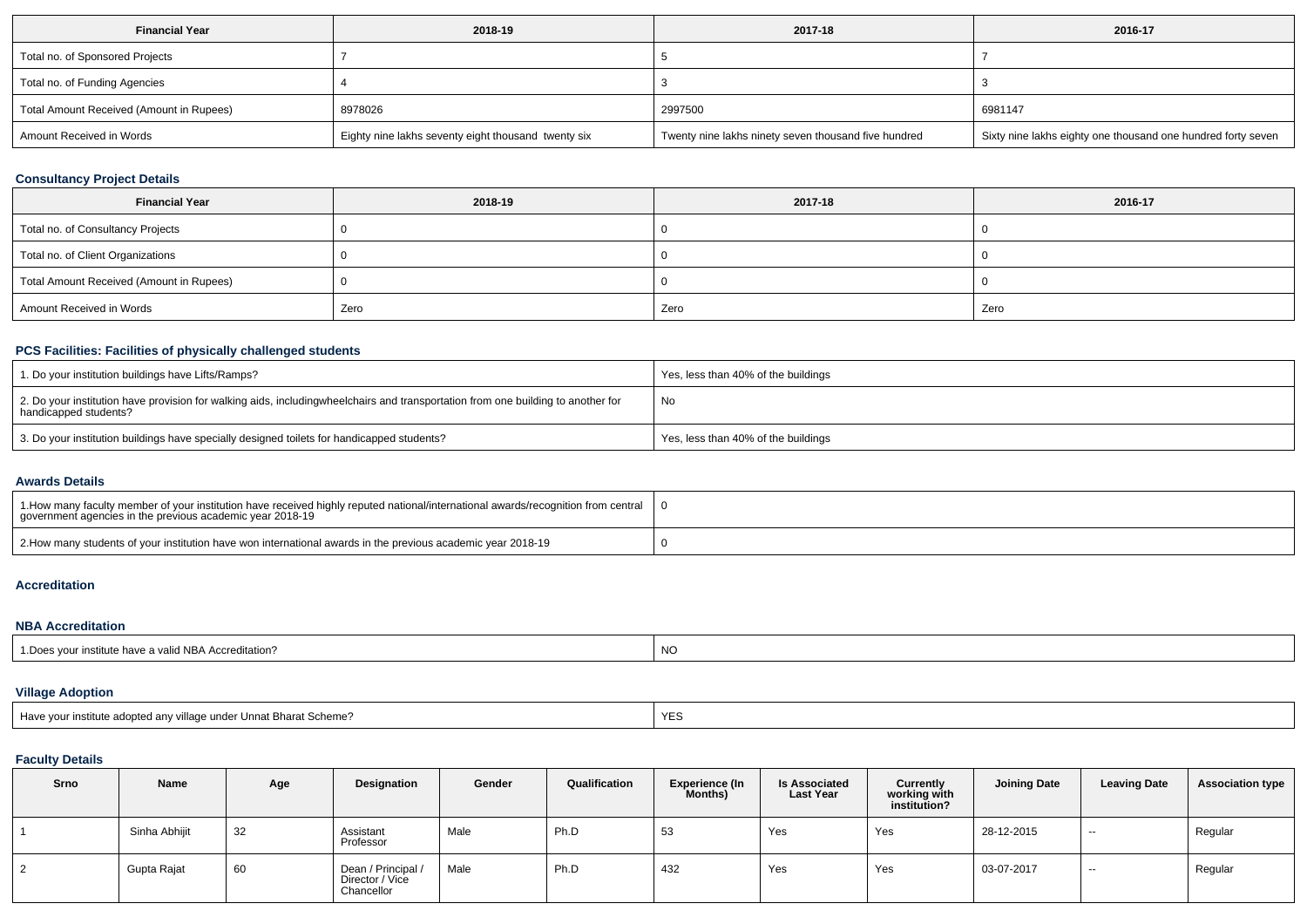| <b>Financial Year</b>                    | 2018-19                                             | 2017-18                                              | 2016-17                                                      |
|------------------------------------------|-----------------------------------------------------|------------------------------------------------------|--------------------------------------------------------------|
| Total no. of Sponsored Projects          |                                                     |                                                      |                                                              |
| Total no. of Funding Agencies            |                                                     |                                                      |                                                              |
| Total Amount Received (Amount in Rupees) | 8978026                                             | 2997500                                              | 6981147                                                      |
| Amount Received in Words                 | Eighty nine lakhs seventy eight thousand twenty six | Twenty nine lakhs ninety seven thousand five hundred | Sixty nine lakhs eighty one thousand one hundred forty seven |

## **Consultancy Project Details**

| <b>Financial Year</b>                    | 2018-19 | 2017-18 | 2016-17 |
|------------------------------------------|---------|---------|---------|
| Total no. of Consultancy Projects        |         |         |         |
| Total no. of Client Organizations        |         |         |         |
| Total Amount Received (Amount in Rupees) |         |         |         |
| Amount Received in Words                 | Zero    | Zero    | Zero    |

### **PCS Facilities: Facilities of physically challenged students**

| 1. Do your institution buildings have Lifts/Ramps?                                                                                                        | Yes, less than 40% of the buildings |
|-----------------------------------------------------------------------------------------------------------------------------------------------------------|-------------------------------------|
| 2. Do your institution have provision for walking aids, includingwheelchairs and transportation from one building to another for<br>handicapped students? | No                                  |
| 3. Do your institution buildings have specially designed toilets for handicapped students?                                                                | Yes, less than 40% of the buildings |

#### **Awards Details**

| 1. Abow many faculty member of your institution have received highly reputed national/international awards/recognition from central<br>government agencies in the previous academic year 2018-19 |  |
|--------------------------------------------------------------------------------------------------------------------------------------------------------------------------------------------------|--|
| 2. How many students of your institution have won international awards in the previous academic year 2018-19                                                                                     |  |

# **Accreditation**

### **NBA Accreditation**

| institute have a valid NBA Accreditation? | NO |
|-------------------------------------------|----|
| Does vour ir                              |    |

## **Village Adoption**

| <b>YES</b><br>Have vour i<br>institute adopted any village under Unnat Bharat Scheme? |  |
|---------------------------------------------------------------------------------------|--|
|---------------------------------------------------------------------------------------|--|

## **Faculty Details**

| Srno | Name          | Age | Designation                                         | Gender | Qualification | <b>Experience (In</b><br>Months) | <b>Is Associated</b><br><b>Last Year</b> | Currently<br>working with<br>institution? | <b>Joining Date</b> | <b>Leaving Date</b> | <b>Association type</b> |
|------|---------------|-----|-----------------------------------------------------|--------|---------------|----------------------------------|------------------------------------------|-------------------------------------------|---------------------|---------------------|-------------------------|
|      | Sinha Abhijit | 32  | Assistant<br>Professor                              | Male   | Ph.D          | 53                               | Yes                                      | Yes                                       | 28-12-2015          | $\sim$              | Regular                 |
|      | Gupta Rajat   | 60  | Dean / Principal /<br>Director / Vice<br>Chancellor | Male   | Ph.D          | 432                              | Yes                                      | Yes                                       | 03-07-2017          | $\sim$              | Regular                 |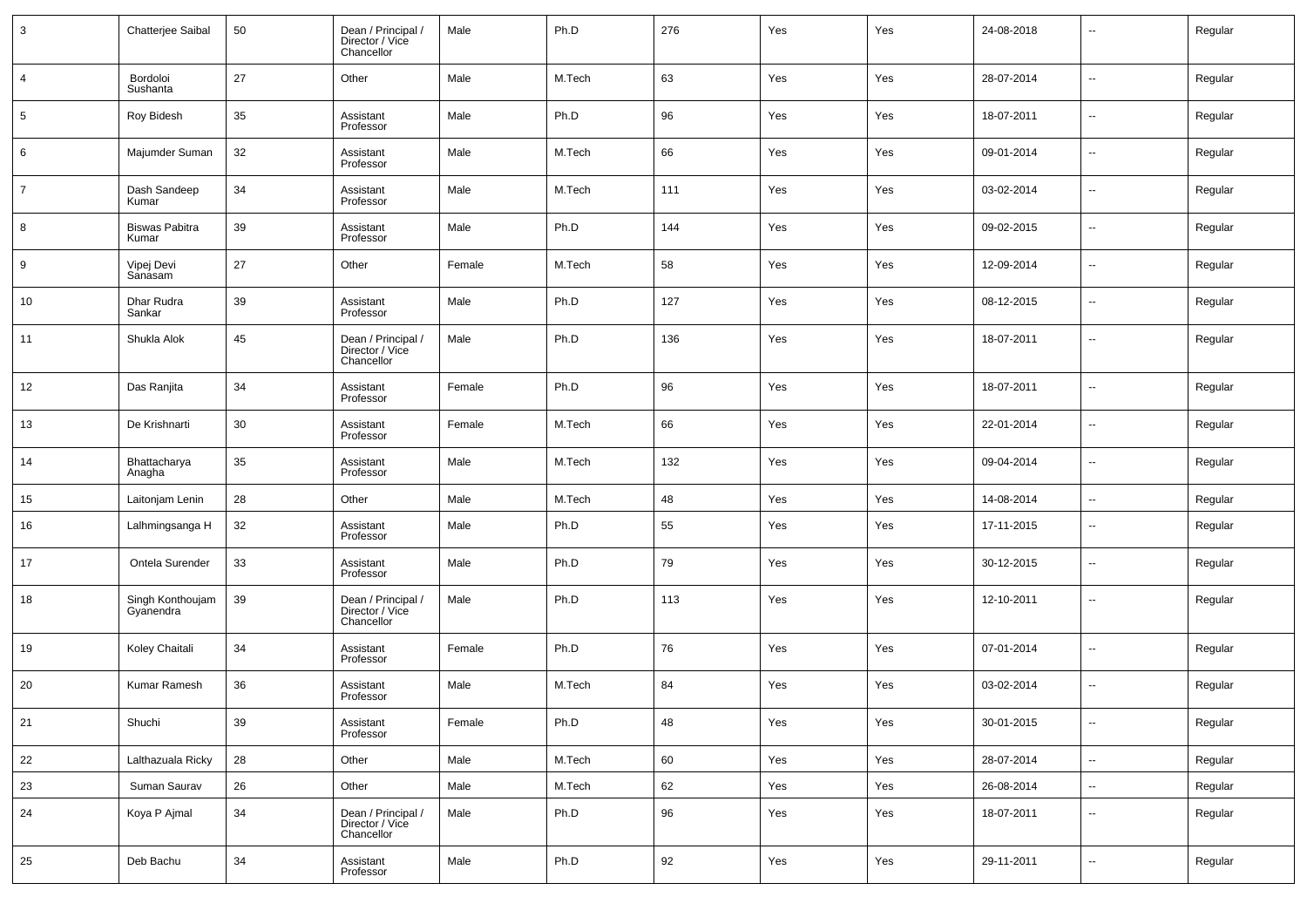| $\mathbf{3}$   | Chatterjee Saibal              | $50\,$ | Dean / Principal /<br>Director / Vice<br>Chancellor | Male   | Ph.D   | 276         | Yes | Yes | 24-08-2018 | $\overline{\phantom{a}}$ | Regular |
|----------------|--------------------------------|--------|-----------------------------------------------------|--------|--------|-------------|-----|-----|------------|--------------------------|---------|
| $\overline{a}$ | Bordoloi<br>Sushanta           | 27     | Other                                               | Male   | M.Tech | 63          | Yes | Yes | 28-07-2014 | $\overline{\phantom{a}}$ | Regular |
| $\sqrt{5}$     | Roy Bidesh                     | 35     | Assistant<br>Professor                              | Male   | Ph.D   | 96          | Yes | Yes | 18-07-2011 | $\overline{\phantom{a}}$ | Regular |
| 6              | Majumder Suman                 | 32     | Assistant<br>Professor                              | Male   | M.Tech | 66          | Yes | Yes | 09-01-2014 | $\overline{\phantom{a}}$ | Regular |
| $\overline{7}$ | Dash Sandeep<br>Kumar          | 34     | Assistant<br>Professor                              | Male   | M.Tech | 111         | Yes | Yes | 03-02-2014 | $\overline{\phantom{a}}$ | Regular |
| 8              | <b>Biswas Pabitra</b><br>Kumar | 39     | Assistant<br>Professor                              | Male   | Ph.D   | 144         | Yes | Yes | 09-02-2015 | $\overline{\phantom{a}}$ | Regular |
| 9              | Vipej Devi<br>Sanasam          | 27     | Other                                               | Female | M.Tech | 58          | Yes | Yes | 12-09-2014 | $\overline{\phantom{a}}$ | Regular |
| 10             | Dhar Rudra<br>Sankar           | 39     | Assistant<br>Professor                              | Male   | Ph.D   | 127         | Yes | Yes | 08-12-2015 | $\overline{\phantom{a}}$ | Regular |
| 11             | Shukla Alok                    | 45     | Dean / Principal /<br>Director / Vice<br>Chancellor | Male   | Ph.D   | 136         | Yes | Yes | 18-07-2011 | $\overline{\phantom{a}}$ | Regular |
| 12             | Das Ranjita                    | 34     | Assistant<br>Professor                              | Female | Ph.D   | 96          | Yes | Yes | 18-07-2011 | $\ddotsc$                | Regular |
| 13             | De Krishnarti                  | 30     | Assistant<br>Professor                              | Female | M.Tech | 66          | Yes | Yes | 22-01-2014 | $\sim$                   | Regular |
| 14             | Bhattacharya<br>Anagha         | 35     | Assistant<br>Professor                              | Male   | M.Tech | 132         | Yes | Yes | 09-04-2014 | $\sim$                   | Regular |
| 15             | Laitonjam Lenin                | 28     | Other                                               | Male   | M.Tech | 48          | Yes | Yes | 14-08-2014 | $\sim$                   | Regular |
| 16             | Lalhmingsanga H                | 32     | Assistant<br>Professor                              | Male   | Ph.D   | 55          | Yes | Yes | 17-11-2015 | $\overline{\phantom{a}}$ | Regular |
| 17             | Ontela Surender                | 33     | Assistant<br>Professor                              | Male   | Ph.D   | 79          | Yes | Yes | 30-12-2015 | $\sim$                   | Regular |
| 18             | Singh Konthoujam<br>Gyanendra  | 39     | Dean / Principal /<br>Director / Vice<br>Chancellor | Male   | Ph.D   | 113         | Yes | Yes | 12-10-2011 | $\sim$                   | Regular |
| 19             | Koley Chaitali                 | 34     | Assistant<br>Professor                              | Female | Ph.D   | 76          | Yes | Yes | 07-01-2014 | $\ddotsc$                | Regular |
| 20             | <b>Kumar Ramesh</b>            | 36     | Assistant<br>Professor                              | Male   | M.Tech | 84          | Yes | Yes | 03-02-2014 | $\overline{\phantom{a}}$ | Regular |
| 21             | Shuchi                         | 39     | Assistant<br>Professor                              | Female | Ph.D   | $\sqrt{48}$ | Yes | Yes | 30-01-2015 | $\overline{\phantom{a}}$ | Regular |
| 22             | Lalthazuala Ricky              | 28     | Other                                               | Male   | M.Tech | 60          | Yes | Yes | 28-07-2014 | $\overline{\phantom{a}}$ | Regular |
| 23             | Suman Saurav                   | 26     | Other                                               | Male   | M.Tech | 62          | Yes | Yes | 26-08-2014 | $\overline{\phantom{a}}$ | Regular |
| 24             | Koya P Ajmal                   | 34     | Dean / Principal /<br>Director / Vice<br>Chancellor | Male   | Ph.D   | $96\,$      | Yes | Yes | 18-07-2011 | $\overline{\phantom{a}}$ | Regular |
| 25             | Deb Bachu                      | 34     | Assistant<br>Professor                              | Male   | Ph.D   | 92          | Yes | Yes | 29-11-2011 | $\overline{\phantom{a}}$ | Regular |